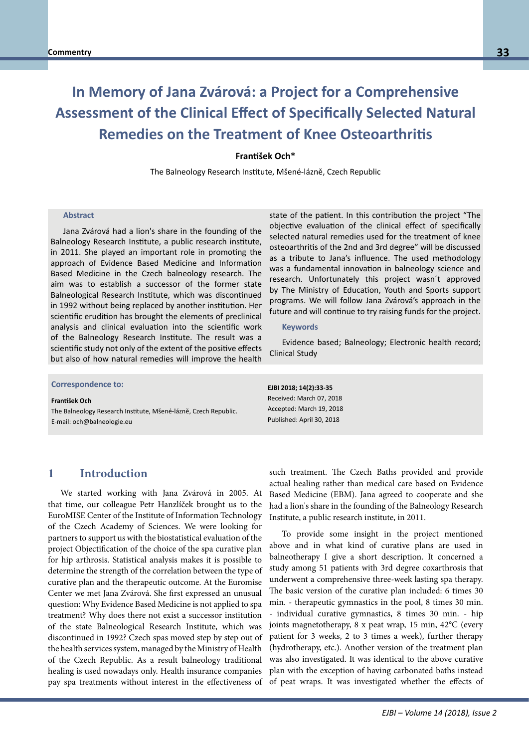# **In Memory of Jana Zvárová: a Project for a Comprehensive Assessment of the Clinical Effect of Specifically Selected Natural Remedies on the Treatment of Knee Osteoarthritis**

#### **František Och\***

The Balneology Research Institute, Mšené-lázně, Czech Republic

#### **Abstract**

Jana Zvárová had a lion's share in the founding of the Balneology Research Institute, a public research institute, in 2011. She played an important role in promoting the approach of Evidence Based Medicine and Information Based Medicine in the Czech balneology research. The aim was to establish a successor of the former state Balneological Research Institute, which was discontinued in 1992 without being replaced by another institution. Her scientific erudition has brought the elements of preclinical analysis and clinical evaluation into the scientific work of the Balneology Research Institute. The result was a scientific study not only of the extent of the positive effects but also of how natural remedies will improve the health

**Correspondence to: Correspondence to:**

**Prof. Dr. habil. Bernd Blobels, FACMI, FACHI, FHL7, FEFMI, MIAHSI** The Balneology Research Institute, Mšené-lázně, Czech Republic.<br>The Balneology Research Institute, Mšené-lázně, Czech Republic. E-mail: och@balneologie.eu **František Och** 

state of the patient. In this contribution the project "The objective evaluation of the clinical effect of specifically selected natural remedies used for the treatment of knee osteoarthritis of the 2nd and 3rd degree" will be discussed as a tribute to Jana's influence. The used methodology was a fundamental innovation in balneology science and research. Unfortunately this project wasn´t approved by The Ministry of Education, Youth and Sports support programs. We will follow Jana Zvárová's approach in the future and will continue to try raising funds for the project.

#### **Keywords**

Evidence based; Balneology; Electronic health record; Clinical Study

**EJBI 2018; 14(2):33-35** Received: March 07, 2018 Accepted: March 19, 2018 Published: April 30, 2018

#### **1 Introduction**

We started working with Jana Zvárová in 2005. At that time, our colleague Petr Hanzlíček brought us to the EuroMISE Center of the Institute of Information Technology of the Czech Academy of Sciences. We were looking for partners to support us with the biostatistical evaluation of the project Objectification of the choice of the spa curative plan for hip arthrosis. Statistical analysis makes it is possible to determine the strength of the correlation between the type of curative plan and the therapeutic outcome. At the Euromise Center we met Jana Zvárová. She first expressed an unusual question: Why Evidence Based Medicine is not applied to spa treatment? Why does there not exist a successor institution of the state Balneological Research Institute, which was discontinued in 1992? Czech spas moved step by step out of the health services system, managed by the Ministry of Health of the Czech Republic. As a result balneology traditional healing is used nowadays only. Health insurance companies pay spa treatments without interest in the effectiveness of

such treatment. The Czech Baths provided and provide actual healing rather than medical care based on Evidence Based Medicine (EBM). Jana agreed to cooperate and she had a lion's share in the founding of the Balneology Research Institute, a public research institute, in 2011.

To provide some insight in the project mentioned above and in what kind of curative plans are used in balneotherapy I give a short description. It concerned a study among 51 patients with 3rd degree coxarthrosis that underwent a comprehensive three-week lasting spa therapy. The basic version of the curative plan included: 6 times 30 min. - therapeutic gymnastics in the pool, 8 times 30 min. - individual curative gymnastics, 8 times 30 min. - hip joints magnetotherapy, 8 x peat wrap, 15 min, 42°C (every patient for 3 weeks, 2 to 3 times a week), further therapy (hydrotherapy, etc.). Another version of the treatment plan was also investigated. It was identical to the above curative plan with the exception of having carbonated baths instead of peat wraps. It was investigated whether the effects of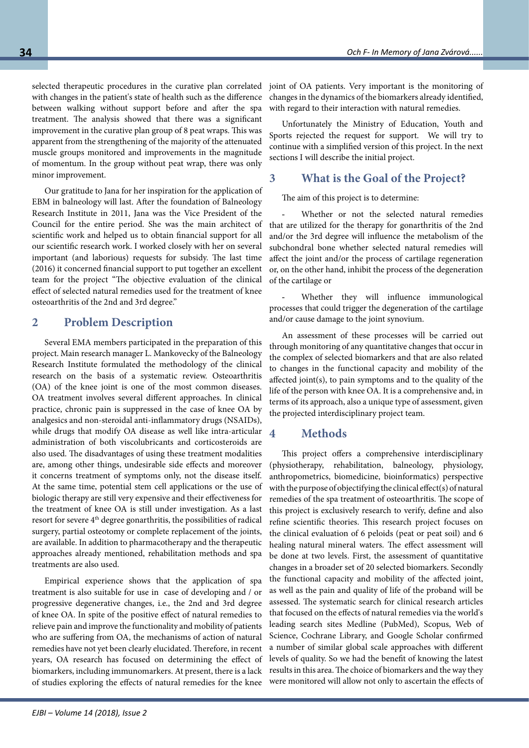selected therapeutic procedures in the curative plan correlated with changes in the patient's state of health such as the difference between walking without support before and after the spa treatment. The analysis showed that there was a significant improvement in the curative plan group of 8 peat wraps. This was apparent from the strengthening of the majority of the attenuated muscle groups monitored and improvements in the magnitude of momentum. In the group without peat wrap, there was only minor improvement.

Our gratitude to Jana for her inspiration for the application of EBM in balneology will last. After the foundation of Balneology Research Institute in 2011, Jana was the Vice President of the Council for the entire period. She was the main architect of scientific work and helped us to obtain financial support for all our scientific research work. I worked closely with her on several important (and laborious) requests for subsidy. The last time (2016) it concerned financial support to put together an excellent team for the project "The objective evaluation of the clinical effect of selected natural remedies used for the treatment of knee osteoarthritis of the 2nd and 3rd degree."

## **2 Problem Description**

Several EMA members participated in the preparation of this project. Main research manager L. Mankovecky of the Balneology Research Institute formulated the methodology of the clinical research on the basis of a systematic review. Osteoarthritis (OA) of the knee joint is one of the most common diseases. OA treatment involves several different approaches. In clinical practice, chronic pain is suppressed in the case of knee OA by analgesics and non-steroidal anti-inflammatory drugs (NSAIDs), while drugs that modify OA disease as well like intra-articular administration of both viscolubricants and corticosteroids are also used. The disadvantages of using these treatment modalities are, among other things, undesirable side effects and moreover it concerns treatment of symptoms only, not the disease itself. At the same time, potential stem cell applications or the use of biologic therapy are still very expensive and their effectiveness for the treatment of knee OA is still under investigation. As a last resort for severe 4<sup>th</sup> degree gonarthritis, the possibilities of radical surgery, partial osteotomy or complete replacement of the joints, are available. In addition to pharmacotherapy and the therapeutic approaches already mentioned, rehabilitation methods and spa treatments are also used.

Empirical experience shows that the application of spa treatment is also suitable for use in case of developing and / or progressive degenerative changes, i.e., the 2nd and 3rd degree of knee OA. In spite of the positive effect of natural remedies to relieve pain and improve the functionality and mobility of patients who are suffering from OA, the mechanisms of action of natural remedies have not yet been clearly elucidated. Therefore, in recent years, OA research has focused on determining the effect of biomarkers, including immunomarkers. At present, there is a lack of studies exploring the effects of natural remedies for the knee

joint of OA patients. Very important is the monitoring of changes in the dynamics of the biomarkers already identified, with regard to their interaction with natural remedies.

Unfortunately the Ministry of Education, Youth and Sports rejected the request for support. We will try to continue with a simplified version of this project. In the next sections I will describe the initial project.

#### **3 What is the Goal of the Project?**

The aim of this project is to determine:

Whether or not the selected natural remedies that are utilized for the therapy for gonarthritis of the 2nd and/or the 3rd degree will influence the metabolism of the subchondral bone whether selected natural remedies will affect the joint and/or the process of cartilage regeneration or, on the other hand, inhibit the process of the degeneration of the cartilage or

Whether they will influence immunological processes that could trigger the degeneration of the cartilage and/or cause damage to the joint synovium.

An assessment of these processes will be carried out through monitoring of any quantitative changes that occur in the complex of selected biomarkers and that are also related to changes in the functional capacity and mobility of the affected joint(s), to pain symptoms and to the quality of the life of the person with knee OA. It is a comprehensive and, in terms of its approach, also a unique type of assessment, given the projected interdisciplinary project team.

#### **4 Methods**

This project offers a comprehensive interdisciplinary (physiotherapy, rehabilitation, balneology, physiology, anthropometrics, biomedicine, bioinformatics) perspective with the purpose of objectifying the clinical effect(s) of natural remedies of the spa treatment of osteoarthritis. The scope of this project is exclusively research to verify, define and also refine scientific theories. This research project focuses on the clinical evaluation of 6 peloids (peat or peat soil) and 6 healing natural mineral waters. The effect assessment will be done at two levels. First, the assessment of quantitative changes in a broader set of 20 selected biomarkers. Secondly the functional capacity and mobility of the affected joint, as well as the pain and quality of life of the proband will be assessed. The systematic search for clinical research articles that focused on the effects of natural remedies via the world's leading search sites Medline (PubMed), Scopus, Web of Science, Cochrane Library, and Google Scholar confirmed a number of similar global scale approaches with different levels of quality. So we had the benefit of knowing the latest results in this area. The choice of biomarkers and the way they were monitored will allow not only to ascertain the effects of